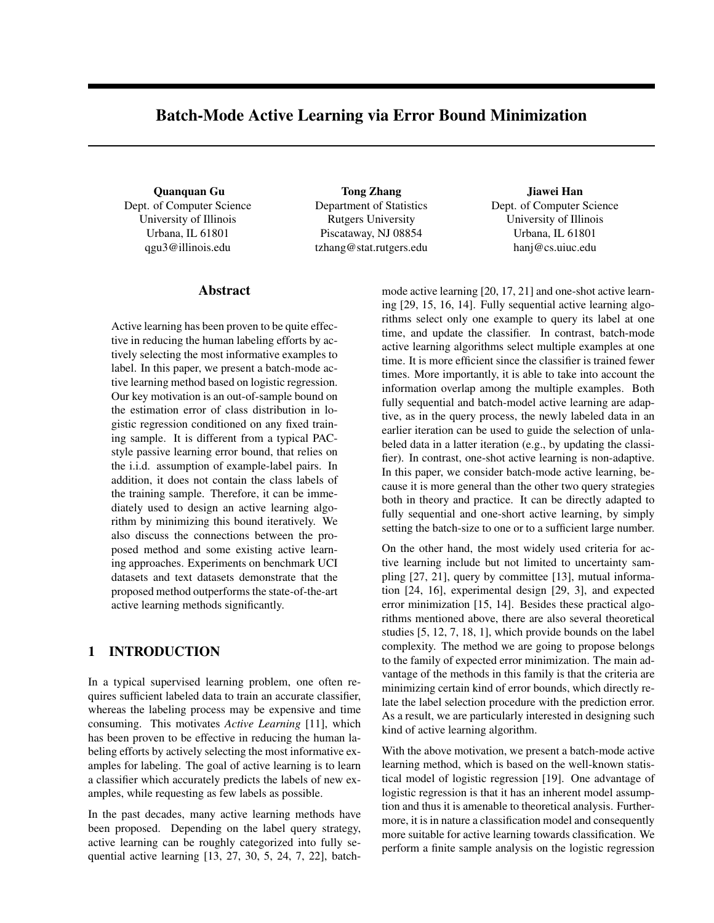# Batch-Mode Active Learning via Error Bound Minimization

Quanquan Gu Dept. of Computer Science University of Illinois Urbana, IL 61801 qgu3@illinois.edu

Tong Zhang Department of Statistics Rutgers University Piscataway, NJ 08854 tzhang@stat.rutgers.edu

## Jiawei Han Dept. of Computer Science University of Illinois Urbana, IL 61801 hanj@cs.uiuc.edu

## Abstract

Active learning has been proven to be quite effective in reducing the human labeling efforts by actively selecting the most informative examples to label. In this paper, we present a batch-mode active learning method based on logistic regression. Our key motivation is an out-of-sample bound on the estimation error of class distribution in logistic regression conditioned on any fixed training sample. It is different from a typical PACstyle passive learning error bound, that relies on the i.i.d. assumption of example-label pairs. In addition, it does not contain the class labels of the training sample. Therefore, it can be immediately used to design an active learning algorithm by minimizing this bound iteratively. We also discuss the connections between the proposed method and some existing active learning approaches. Experiments on benchmark UCI datasets and text datasets demonstrate that the proposed method outperforms the state-of-the-art active learning methods significantly.

## 1 INTRODUCTION

In a typical supervised learning problem, one often requires sufficient labeled data to train an accurate classifier, whereas the labeling process may be expensive and time consuming. This motivates *Active Learning* [11], which has been proven to be effective in reducing the human labeling efforts by actively selecting the most informative examples for labeling. The goal of active learning is to learn a classifier which accurately predicts the labels of new examples, while requesting as few labels as possible.

In the past decades, many active learning methods have been proposed. Depending on the label query strategy, active learning can be roughly categorized into fully sequential active learning [13, 27, 30, 5, 24, 7, 22], batch-

mode active learning [20, 17, 21] and one-shot active learning [29, 15, 16, 14]. Fully sequential active learning algorithms select only one example to query its label at one time, and update the classifier. In contrast, batch-mode active learning algorithms select multiple examples at one time. It is more efficient since the classifier is trained fewer times. More importantly, it is able to take into account the information overlap among the multiple examples. Both fully sequential and batch-model active learning are adaptive, as in the query process, the newly labeled data in an earlier iteration can be used to guide the selection of unlabeled data in a latter iteration (e.g., by updating the classifier). In contrast, one-shot active learning is non-adaptive. In this paper, we consider batch-mode active learning, because it is more general than the other two query strategies both in theory and practice. It can be directly adapted to fully sequential and one-short active learning, by simply setting the batch-size to one or to a sufficient large number.

On the other hand, the most widely used criteria for active learning include but not limited to uncertainty sampling [27, 21], query by committee [13], mutual information [24, 16], experimental design [29, 3], and expected error minimization [15, 14]. Besides these practical algorithms mentioned above, there are also several theoretical studies [5, 12, 7, 18, 1], which provide bounds on the label complexity. The method we are going to propose belongs to the family of expected error minimization. The main advantage of the methods in this family is that the criteria are minimizing certain kind of error bounds, which directly relate the label selection procedure with the prediction error. As a result, we are particularly interested in designing such kind of active learning algorithm.

With the above motivation, we present a batch-mode active learning method, which is based on the well-known statistical model of logistic regression [19]. One advantage of logistic regression is that it has an inherent model assumption and thus it is amenable to theoretical analysis. Furthermore, it is in nature a classification model and consequently more suitable for active learning towards classification. We perform a finite sample analysis on the logistic regression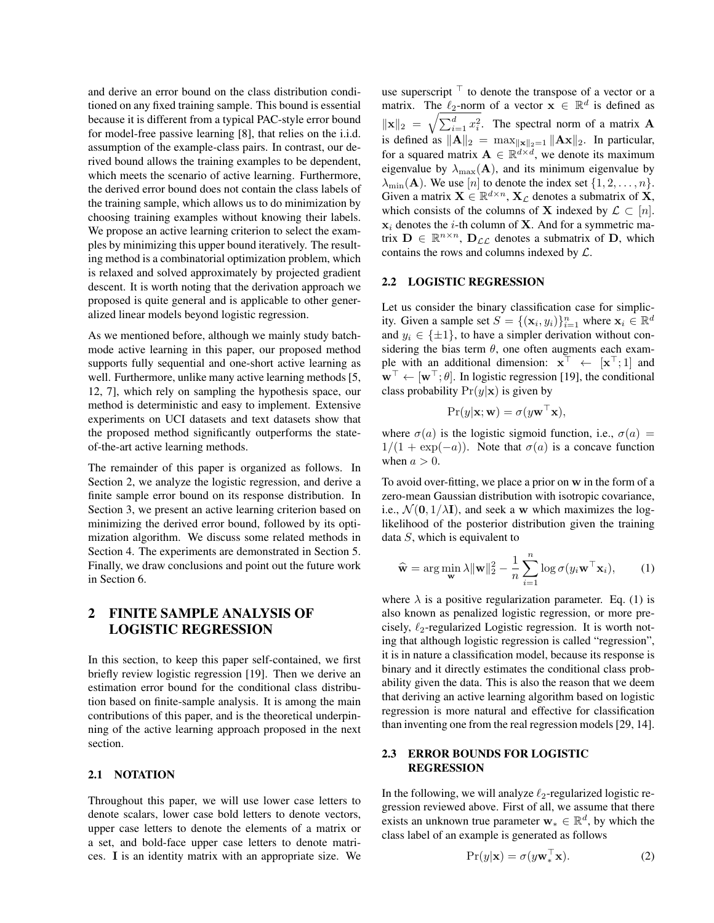and derive an error bound on the class distribution conditioned on any fixed training sample. This bound is essential because it is different from a typical PAC-style error bound for model-free passive learning [8], that relies on the i.i.d. assumption of the example-class pairs. In contrast, our derived bound allows the training examples to be dependent, which meets the scenario of active learning. Furthermore, the derived error bound does not contain the class labels of the training sample, which allows us to do minimization by choosing training examples without knowing their labels. We propose an active learning criterion to select the examples by minimizing this upper bound iteratively. The resulting method is a combinatorial optimization problem, which is relaxed and solved approximately by projected gradient descent. It is worth noting that the derivation approach we proposed is quite general and is applicable to other generalized linear models beyond logistic regression.

As we mentioned before, although we mainly study batchmode active learning in this paper, our proposed method supports fully sequential and one-short active learning as well. Furthermore, unlike many active learning methods [5, 12, 7], which rely on sampling the hypothesis space, our method is deterministic and easy to implement. Extensive experiments on UCI datasets and text datasets show that the proposed method significantly outperforms the stateof-the-art active learning methods.

The remainder of this paper is organized as follows. In Section 2, we analyze the logistic regression, and derive a finite sample error bound on its response distribution. In Section 3, we present an active learning criterion based on minimizing the derived error bound, followed by its optimization algorithm. We discuss some related methods in Section 4. The experiments are demonstrated in Section 5. Finally, we draw conclusions and point out the future work in Section 6.

## 2 FINITE SAMPLE ANALYSIS OF LOGISTIC REGRESSION

In this section, to keep this paper self-contained, we first briefly review logistic regression [19]. Then we derive an estimation error bound for the conditional class distribution based on finite-sample analysis. It is among the main contributions of this paper, and is the theoretical underpinning of the active learning approach proposed in the next section.

#### 2.1 NOTATION

Throughout this paper, we will use lower case letters to denote scalars, lower case bold letters to denote vectors, upper case letters to denote the elements of a matrix or a set, and bold-face upper case letters to denote matrices. **I** is an identity matrix with an appropriate size. We

use superscript *<sup>⊤</sup>* to denote the transpose of a vector or a matrix. The  $\ell_2$ -norm of a vector  $\mathbf{x} \in \mathbb{R}^d$  is defined as  $\|\mathbf{x}\|_2 = \sqrt{\sum_{i=1}^d x_i^2}$ . The spectral norm of a matrix **A** is defined as  $||A||_2 = \max_{||\mathbf{x}||_2=1} ||A\mathbf{x}||_2$ . In particular, for a squared matrix  $A \in \mathbb{R}^{d \times d}$ , we denote its maximum eigenvalue by  $\lambda_{\text{max}}(A)$ , and its minimum eigenvalue by  $\lambda_{\min}(\mathbf{A})$ . We use  $[n]$  to denote the index set  $\{1, 2, \ldots, n\}$ . Given a matrix  $\mathbf{X} \in \mathbb{R}^{d \times n}$ ,  $\mathbf{X}_{\mathcal{L}}$  denotes a submatrix of  $\mathbf{X}$ , which consists of the columns of **X** indexed by  $\mathcal{L} \subset [n]$ .  $x_i$  denotes the *i*-th column of **X**. And for a symmetric matrix  $\mathbf{D} \in \mathbb{R}^{n \times n}$ ,  $\mathbf{D}_{\mathcal{LL}}$  denotes a submatrix of  $\mathbf{D}$ , which contains the rows and columns indexed by *L*.

### 2.2 LOGISTIC REGRESSION

Let us consider the binary classification case for simplicity. Given a sample set  $S = \{(\mathbf{x}_i, y_i)\}_{i=1}^n$  where  $\mathbf{x}_i \in \mathbb{R}^d$ and  $y_i \in \{\pm 1\}$ , to have a simpler derivation without considering the bias term  $\theta$ , one often augments each example with an additional dimension:  $\mathbf{x}^{\perp} \leftarrow [\mathbf{x}^{\perp}; 1]$  and **w***<sup>⊤</sup> ←* [**w***⊤*; *θ*]. In logistic regression [19], the conditional class probability  $Pr(y|\mathbf{x})$  is given by

$$
Pr(y|\mathbf{x}; \mathbf{w}) = \sigma(y\mathbf{w}^\top \mathbf{x}),
$$

where  $\sigma(a)$  is the logistic sigmoid function, i.e.,  $\sigma(a)$  =  $1/(1 + \exp(-a))$ . Note that  $\sigma(a)$  is a concave function when  $a > 0$ .

To avoid over-fitting, we place a prior on **w** in the form of a zero-mean Gaussian distribution with isotropic covariance, i.e.,  $\mathcal{N}(\mathbf{0}, 1/\lambda \mathbf{I})$ , and seek a **w** which maximizes the loglikelihood of the posterior distribution given the training data *S*, which is equivalent to

$$
\widehat{\mathbf{w}} = \arg\min_{\mathbf{w}} \lambda \|\mathbf{w}\|_2^2 - \frac{1}{n} \sum_{i=1}^n \log \sigma(y_i \mathbf{w}^\top \mathbf{x}_i), \qquad (1)
$$

where  $\lambda$  is a positive regularization parameter. Eq. (1) is also known as penalized logistic regression, or more precisely, *ℓ*2-regularized Logistic regression. It is worth noting that although logistic regression is called "regression", it is in nature a classification model, because its response is binary and it directly estimates the conditional class probability given the data. This is also the reason that we deem that deriving an active learning algorithm based on logistic regression is more natural and effective for classification than inventing one from the real regression models [29, 14].

## 2.3 ERROR BOUNDS FOR LOGISTIC **REGRESSION**

In the following, we will analyze *ℓ*2-regularized logistic regression reviewed above. First of all, we assume that there exists an unknown true parameter  $\mathbf{w}_* \in \mathbb{R}^d$ , by which the class label of an example is generated as follows

$$
Pr(y|\mathbf{x}) = \sigma(y\mathbf{w}_*^{\top}\mathbf{x}).
$$
 (2)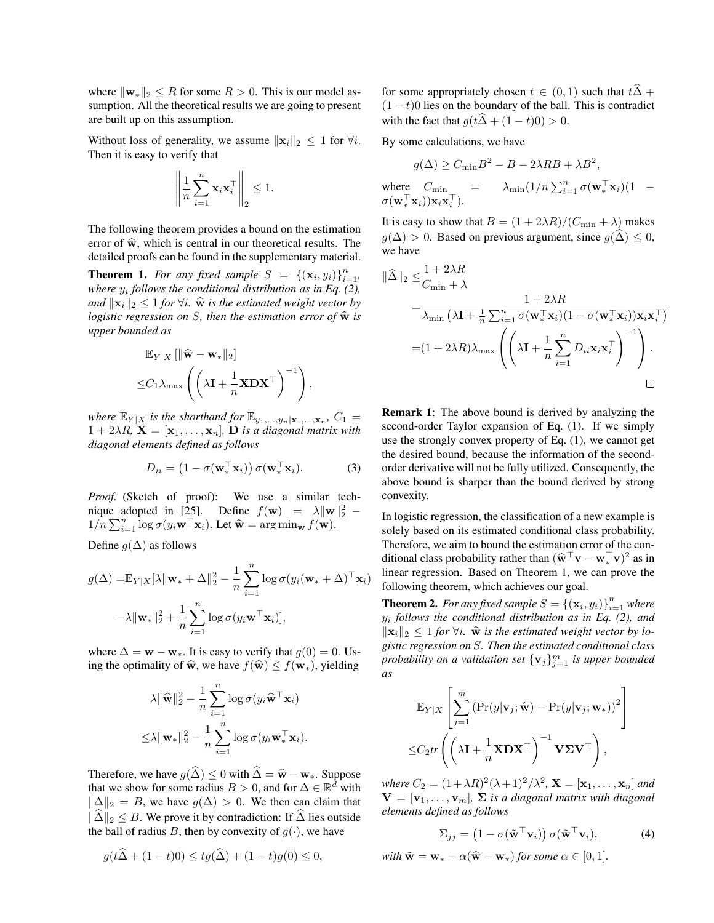where  $\|\mathbf{w}_*\|_2 \leq R$  for some  $R > 0$ . This is our model assumption. All the theoretical results we are going to present are built up on this assumption.

Without loss of generality, we assume  $||\mathbf{x}_i||_2 \leq 1$  for  $\forall i$ . Then it is easy to verify that

$$
\left\| \frac{1}{n} \sum_{i=1}^{n} \mathbf{x}_i \mathbf{x}_i^\top \right\|_2 \leq 1.
$$

The following theorem provides a bound on the estimation error of  $\hat{\mathbf{w}}$ , which is central in our theoretical results. The detailed proofs can be found in the supplementary material.

**Theorem 1.** For any fixed sample  $S = \{(\mathbf{x}_i, y_i)\}_{i=1}^n$ , *where y<sup>i</sup> follows the conditional distribution as in Eq. (2), and*  $||\mathbf{x}_i||_2$  ≤ 1 *for*  $\forall i$ *.*  $\hat{\mathbf{w}}$  *is the estimated weight vector by logistic regression on S, then the estimation error of*  $\hat{\mathbf{w}}$  *is upper bounded as*

$$
\mathbb{E}_{Y|X} [\|\widehat{\mathbf{w}} - \mathbf{w}_*\|_2] \leq C_1 \lambda_{\max} \left( \left( \lambda \mathbf{I} + \frac{1}{n} \mathbf{X} \mathbf{D} \mathbf{X}^\top \right)^{-1} \right),
$$

*where*  $\mathbb{E}_{Y|X}$  *is the shorthand for*  $\mathbb{E}_{y_1,\dots,y_n|\mathbf{x}_1,\dots,\mathbf{x}_n}$ ,  $C_1 =$  $1 + 2\lambda R$ ,  $\mathbf{X} = [\mathbf{x}_1, \dots, \mathbf{x}_n]$ , **D** *is a diagonal matrix with diagonal elements defined as follows*

$$
D_{ii} = \left(1 - \sigma(\mathbf{w}_*^{\top} \mathbf{x}_i)\right) \sigma(\mathbf{w}_*^{\top} \mathbf{x}_i).
$$
 (3)

*Proof.* (Sketch of proof): We use a similar technique adopted in [25]. Define  $f(\mathbf{w}) = \lambda \|\mathbf{w}\|_2^2$  –  $1/n \sum_{i=1}^{n} \log \sigma(y_i \mathbf{w}^\top \mathbf{x}_i)$ . Let  $\hat{\mathbf{w}} = \arg \min_{\mathbf{w}} f(\mathbf{w})$ .

Define  $g(\Delta)$  as follows

$$
g(\Delta) = \mathbb{E}_{Y|X}[\lambda \|\mathbf{w}_* + \Delta\|_2^2 - \frac{1}{n} \sum_{i=1}^n \log \sigma(y_i(\mathbf{w}_* + \Delta)^{\top} \mathbf{x}_i)
$$

$$
-\lambda \|\mathbf{w}_*\|_2^2 + \frac{1}{n} \sum_{i=1}^n \log \sigma(y_i \mathbf{w}^{\top} \mathbf{x}_i)],
$$

where  $\Delta = \mathbf{w} - \mathbf{w}_*$ . It is easy to verify that  $q(0) = 0$ . Using the optimality of  $\hat{\mathbf{w}}$ , we have  $f(\hat{\mathbf{w}}) \leq f(\mathbf{w}_*)$ , yielding

$$
\lambda \|\widehat{\mathbf{w}}\|_2^2 - \frac{1}{n} \sum_{i=1}^n \log \sigma(y_i \widehat{\mathbf{w}}^\top \mathbf{x}_i)
$$

$$
\leq \lambda \|\mathbf{w}_*\|_2^2 - \frac{1}{n} \sum_{i=1}^n \log \sigma(y_i \mathbf{w}_*^\top \mathbf{x}_i).
$$

Therefore, we have  $g(\hat{\Delta}) \le 0$  with  $\hat{\Delta} = \hat{\mathbf{w}} - \mathbf{w}_*$ . Suppose that we show for some radius *B* > 0, and for  $\Delta \in \mathbb{R}^d$  with  $||\Delta||_2 = B$ , we have  $g(\Delta) > 0$ . We then can claim that  $||\hat{\Delta}||_2$  ≤ *B*. We prove it by contradiction: If  $\hat{\Delta}$  lies outside the ball of radius *B*, then by convexity of  $g(\cdot)$ , we have

$$
g(t\hat{\Delta} + (1-t)0) \leq tg(\hat{\Delta}) + (1-t)g(0) \leq 0,
$$

for some appropriately chosen  $t \in (0,1)$  such that  $t\hat{\Delta}$  + (1 *− t*)0 lies on the boundary of the ball. This is contradict with the fact that  $g(t\hat{\Delta} + (1 - t)0) > 0$ .

By some calculations, we have

$$
g(\Delta) \ge C_{\min} B^2 - B - 2\lambda RB + \lambda B^2,
$$
  
where  $C_{\min}$  =  $\lambda_{\min} (1/n \sum_{i=1}^n \sigma(\mathbf{w}_*^{\top} \mathbf{x}_i)(1 - \sigma(\mathbf{w}_*^{\top} \mathbf{x}_i)) \mathbf{x}_i \mathbf{x}_i^{\top}).$ 

It is easy to show that  $B = (1 + 2\lambda R)/(C_{\min} + \lambda)$  makes *g*( $\Delta$ ) > 0. Based on previous argument, since *g*( $\overline{\Delta}$ ) ≤ 0, we have

$$
\|\hat{\Delta}\|_{2} \leq \frac{1 + 2\lambda R}{C_{\min} + \lambda}
$$
\n
$$
= \frac{1 + 2\lambda R}{\lambda_{\min} \left(\lambda \mathbf{I} + \frac{1}{n} \sum_{i=1}^{n} \sigma(\mathbf{w}_{*}^{\top} \mathbf{x}_{i})(1 - \sigma(\mathbf{w}_{*}^{\top} \mathbf{x}_{i}))\mathbf{x}_{i}\mathbf{x}_{i}^{\top}\right)}
$$
\n
$$
= (1 + 2\lambda R)\lambda_{\max} \left( \left(\lambda \mathbf{I} + \frac{1}{n} \sum_{i=1}^{n} D_{ii}\mathbf{x}_{i}\mathbf{x}_{i}^{\top}\right)^{-1} \right).
$$

Remark 1: The above bound is derived by analyzing the second-order Taylor expansion of Eq. (1). If we simply use the strongly convex property of Eq. (1), we cannot get the desired bound, because the information of the secondorder derivative will not be fully utilized. Consequently, the above bound is sharper than the bound derived by strong convexity.

In logistic regression, the classification of a new example is solely based on its estimated conditional class probability. Therefore, we aim to bound the estimation error of the conditional class probability rather than  $(\hat{\mathbf{w}}^T \mathbf{v} - \mathbf{w}_*^T \mathbf{v})^2$  as in linear regression. Based on Theorem 1, we can prove the following theorem, which achieves our goal.

**Theorem 2.** For any fixed sample  $S = \{(\mathbf{x}_i, y_i)\}_{i=1}^n$  where *yi follows the conditional distribution as in Eq. (2), and*  $\|\mathbf{x}_i\|_2 \leq 1$  *for*  $\forall i$ *.*  $\hat{\mathbf{w}}$  *is the estimated weight vector by logistic regression on S. Then the estimated conditional class probability on a validation set*  $\{v_j\}_{j=1}^m$  *is upper bounded as*

$$
\mathbb{E}_{Y|X}\left[\sum_{j=1}^{m} \left(\Pr(y|\mathbf{v}_j;\hat{\mathbf{w}}) - \Pr(y|\mathbf{v}_j;\mathbf{w}_*))^2\right]\right]
$$
  

$$
\leq C_2 tr\left(\left(\lambda \mathbf{I} + \frac{1}{n} \mathbf{X} \mathbf{D} \mathbf{X}^\top\right)^{-1} \mathbf{V} \mathbf{\Sigma} \mathbf{V}^\top\right),
$$

 $W$ *here*  $C_2 = (1 + \lambda R)^2 (\lambda + 1)^2 / \lambda^2$ ,  $\mathbf{X} = [\mathbf{x}_1, \dots, \mathbf{x}_n]$  and  $V = [\mathbf{v}_1, \dots, \mathbf{v}_m]$ ,  $\Sigma$  *is a diagonal matrix with diagonal elements defined as follows*

$$
\Sigma_{jj} = \left(1 - \sigma(\tilde{\mathbf{w}}^{\top}\mathbf{v}_i)\right)\sigma(\tilde{\mathbf{w}}^{\top}\mathbf{v}_i),\tag{4}
$$

with 
$$
\tilde{\mathbf{w}} = \mathbf{w}_* + \alpha(\hat{\mathbf{w}} - \mathbf{w}_*)
$$
 for some  $\alpha \in [0, 1]$ .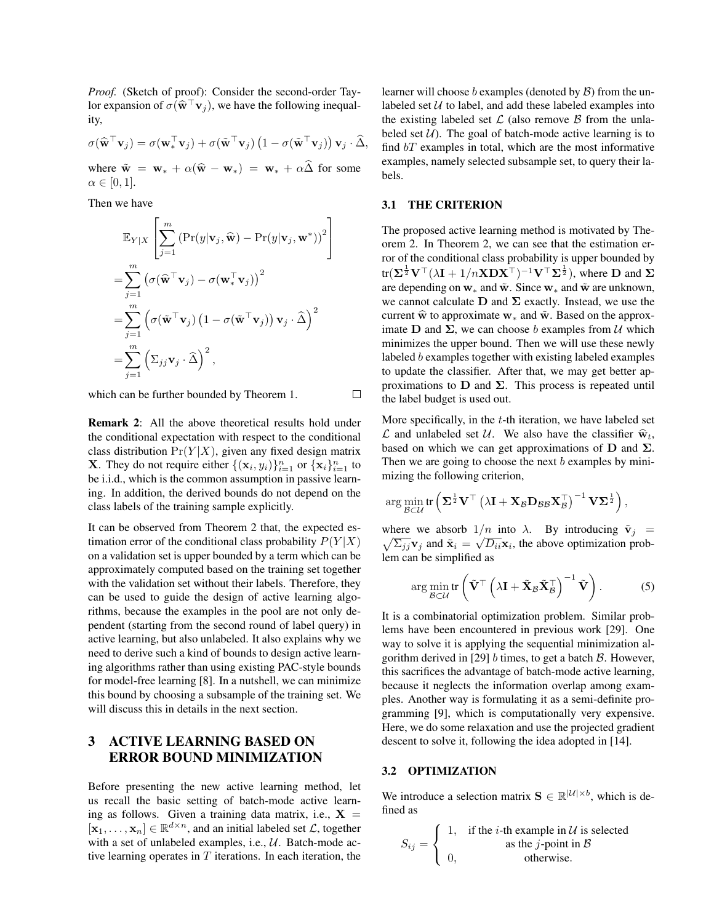*Proof.* (Sketch of proof): Consider the second-order Taylor expansion of  $\sigma(\hat{\mathbf{w}}^{\top}\mathbf{v}_j)$ , we have the following inequality,

$$
\sigma(\widehat{\mathbf{w}}^{\top}\mathbf{v}_j) = \sigma(\mathbf{w}_*^{\top}\mathbf{v}_j) + \sigma(\widetilde{\mathbf{w}}^{\top}\mathbf{v}_j) (1 - \sigma(\widetilde{\mathbf{w}}^{\top}\mathbf{v}_j)) \mathbf{v}_j \cdot \widehat{\Delta},
$$

where  $\tilde{\mathbf{w}} = \mathbf{w}_* + \alpha(\hat{\mathbf{w}} - \mathbf{w}_*) = \mathbf{w}_* + \alpha\hat{\mathbf{\Delta}}$  for some  $\alpha \in [0, 1].$ 

Then we have

$$
\mathbb{E}_{Y|X}\left[\sum_{j=1}^{m} \left(\Pr(y|\mathbf{v}_j, \widehat{\mathbf{w}}) - \Pr(y|\mathbf{v}_j, \mathbf{w}^*)\right)^2\right]
$$
  
\n
$$
= \sum_{j=1}^{m} \left(\sigma(\widehat{\mathbf{w}}^{\top}\mathbf{v}_j) - \sigma(\mathbf{w}_*^{\top}\mathbf{v}_j)\right)^2
$$
  
\n
$$
= \sum_{j=1}^{m} \left(\sigma(\widetilde{\mathbf{w}}^{\top}\mathbf{v}_j) \left(1 - \sigma(\widetilde{\mathbf{w}}^{\top}\mathbf{v}_j)\right) \mathbf{v}_j \cdot \widehat{\Delta}\right)^2
$$
  
\n
$$
= \sum_{j=1}^{m} \left(\Sigma_{jj} \mathbf{v}_j \cdot \widehat{\Delta}\right)^2,
$$

which can be further bounded by Theorem 1.

Remark 2: All the above theoretical results hold under the conditional expectation with respect to the conditional class distribution  $Pr(Y|X)$ , given any fixed design matrix **X**. They do not require either  $\{(\mathbf{x}_i, y_i)\}_{i=1}^n$  or  $\{\mathbf{x}_i\}_{i=1}^n$  to be i.i.d., which is the common assumption in passive learning. In addition, the derived bounds do not depend on the class labels of the training sample explicitly.

It can be observed from Theorem 2 that, the expected estimation error of the conditional class probability  $P(Y|X)$ on a validation set is upper bounded by a term which can be approximately computed based on the training set together with the validation set without their labels. Therefore, they can be used to guide the design of active learning algorithms, because the examples in the pool are not only dependent (starting from the second round of label query) in active learning, but also unlabeled. It also explains why we need to derive such a kind of bounds to design active learning algorithms rather than using existing PAC-style bounds for model-free learning [8]. In a nutshell, we can minimize this bound by choosing a subsample of the training set. We will discuss this in details in the next section.

## 3 ACTIVE LEARNING BASED ON ERROR BOUND MINIMIZATION

Before presenting the new active learning method, let us recall the basic setting of batch-mode active learning as follows. Given a training data matrix, i.e.,  $X =$  $[\mathbf{x}_1, \dots, \mathbf{x}_n] \in \mathbb{R}^{d \times n}$ , and an initial labeled set *L*, together with a set of unlabeled examples, i.e., *U*. Batch-mode active learning operates in *T* iterations. In each iteration, the

learner will choose *b* examples (denoted by *B*) from the unlabeled set  $U$  to label, and add these labeled examples into the existing labeled set  $\mathcal L$  (also remove  $\mathcal B$  from the unlabeled set  $U$ ). The goal of batch-mode active learning is to find *bT* examples in total, which are the most informative examples, namely selected subsample set, to query their labels.

### 3.1 THE CRITERION

 $\Box$ 

The proposed active learning method is motivated by Theorem 2. In Theorem 2, we can see that the estimation error of the conditional class probability is upper bounded by  $tr(\Sigma^{\frac{1}{2}} V^{\top} (\lambda I + 1/nXDX^{\top})^{-1} V^{\top} \Sigma^{\frac{1}{2}})$ , where **D** and  $\Sigma$ are depending on  $w_*$  and  $\tilde{w}$ . Since  $w_*$  and  $\tilde{w}$  are unknown, we cannot calculate **D** and **Σ** exactly. Instead, we use the current  $\hat{\mathbf{w}}$  to approximate  $\mathbf{w}_*$  and  $\tilde{\mathbf{w}}$ . Based on the approximate **D** and **Σ**, we can choose *b* examples from *U* which minimizes the upper bound. Then we will use these newly labeled *b* examples together with existing labeled examples to update the classifier. After that, we may get better approximations to **D** and **Σ**. This process is repeated until the label budget is used out.

More specifically, in the *t*-th iteration, we have labeled set  $\mathcal{L}$  and unlabeled set  $\mathcal{U}$ . We also have the classifier  $\hat{\mathbf{w}}_t$ , based on which we can get approximations of **D** and **Σ**. Then we are going to choose the next *b* examples by minimizing the following criterion,

$$
\arg\min_{\mathcal{B}\subset\mathcal{U}}\text{tr}\left(\mathbf{\Sigma}^{\frac{1}{2}}\mathbf{V}^{\top}\left(\lambda\mathbf{I}+\mathbf{X}_{\mathcal{B}}\mathbf{D}_{\mathcal{B}\mathcal{B}}\mathbf{X}_{\mathcal{B}}^{\top}\right)^{-1}\mathbf{V}\mathbf{\Sigma}^{\frac{1}{2}}\right),\
$$

where we absorb  $1/n$  into  $\lambda$ . By introducing  $\tilde{\mathbf{v}}_j =$  $\sqrt{\sum_{jj}}$ **v**<sub>*j*</sub> and  $\tilde{\mathbf{x}}_i = \sqrt{D_{ii}}\mathbf{x}_i$ , the above optimization problem can be simplified as

$$
\arg\min_{\mathcal{B}\subset\mathcal{U}}\text{tr}\left(\tilde{\mathbf{V}}^{\top}\left(\lambda\mathbf{I}+\tilde{\mathbf{X}}_{\mathcal{B}}\tilde{\mathbf{X}}_{\mathcal{B}}^{\top}\right)^{-1}\tilde{\mathbf{V}}\right).
$$
 (5)

It is a combinatorial optimization problem. Similar problems have been encountered in previous work [29]. One way to solve it is applying the sequential minimization algorithm derived in [29] *b* times, to get a batch *B*. However, this sacrifices the advantage of batch-mode active learning, because it neglects the information overlap among examples. Another way is formulating it as a semi-definite programming [9], which is computationally very expensive. Here, we do some relaxation and use the projected gradient descent to solve it, following the idea adopted in [14].

#### 3.2 OPTIMIZATION

We introduce a selection matrix  $\mathbf{S} \in \mathbb{R}^{|\mathcal{U}| \times b}$ , which is defined as

$$
S_{ij} = \begin{cases} 1, & \text{if the } i\text{-th example in } U \text{ is selected} \\ & \text{as the } j\text{-point in } B \\ 0, & \text{otherwise.} \end{cases}
$$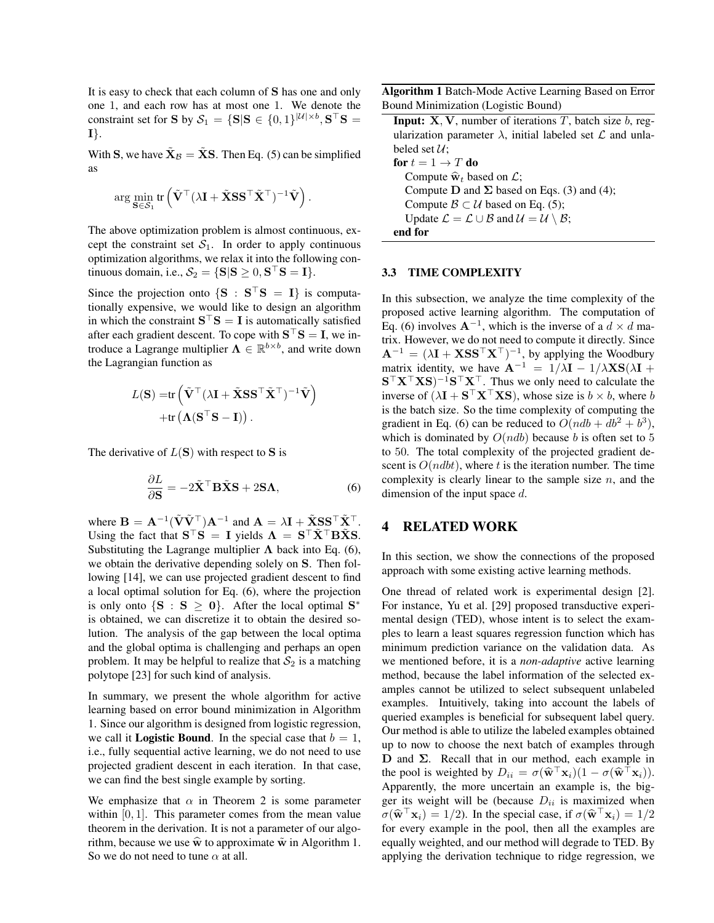It is easy to check that each column of **S** has one and only one 1, and each row has at most one 1. We denote the constraint set for **S** by  $\mathcal{S}_1 = \{\mathbf{S} | \mathbf{S} \in \{0, 1\}^{|\mathcal{U}| \times b}, \mathbf{S}^\top \mathbf{S} = \emptyset\}$ **I***}*.

With **S**, we have  $\tilde{\mathbf{X}}_B = \tilde{\mathbf{X}}\mathbf{S}$ . Then Eq. (5) can be simplified as

$$
\arg\min_{\mathbf{S}\in\mathcal{S}_1}\text{tr}\left(\tilde{\mathbf{V}}^\top(\lambda\mathbf{I}+\tilde{\mathbf{X}}\mathbf{S}\mathbf{S}^\top\tilde{\mathbf{X}}^\top)^{-1}\tilde{\mathbf{V}}\right).
$$

The above optimization problem is almost continuous, except the constraint set  $S_1$ . In order to apply continuous optimization algorithms, we relax it into the following con- $\text{triv}$  tinuous domain, i.e.,  $\mathcal{S}_2 = \{\mathbf{S} | \mathbf{S} \geq 0, \mathbf{S}^\top \mathbf{S} = \mathbf{I}\}.$ 

Since the projection onto  $\{S : S | S = I\}$  is computationally expensive, we would like to design an algorithm in which the constraint  $S$ <sup> $\cdot$ </sup> $S = I$  is automatically satisfied after each gradient descent. To cope with  $S$ <sup> $\perp$ </sup> $S = I$ , we introduce a Lagrange multiplier  $\Lambda \in \mathbb{R}^{b \times b}$ , and write down the Lagrangian function as

$$
L(\mathbf{S}) = \text{tr}\left(\tilde{\mathbf{V}}^{\top}(\lambda \mathbf{I} + \tilde{\mathbf{X}} \mathbf{S} \mathbf{S}^{\top} \tilde{\mathbf{X}}^{\top})^{-1} \tilde{\mathbf{V}}\right) + \text{tr}(\mathbf{\Lambda}(\mathbf{S}^{\top} \mathbf{S} - \mathbf{I}))
$$

The derivative of *L*(**S**) with respect to **S** is

$$
\frac{\partial L}{\partial \mathbf{S}} = -2\tilde{\mathbf{X}}^{\top} \mathbf{B} \tilde{\mathbf{X}} \mathbf{S} + 2\mathbf{S} \mathbf{\Lambda},\tag{6}
$$

where  $\mathbf{B} = \mathbf{A}^{-1}(\tilde{\mathbf{V}}\tilde{\mathbf{V}}^{\top})\mathbf{A}^{-1}$  and  $\mathbf{A} = \lambda \mathbf{I} + \tilde{\mathbf{X}}\mathbf{S}\mathbf{S}^{\top}\tilde{\mathbf{X}}^{\top}$ . Using the fact that  $S^{\top}S = I$  yields  $\Lambda = S^{\top}\tilde{X}^{\top}B\tilde{X}S$ . Substituting the Lagrange multiplier  $\Lambda$  back into Eq. (6), we obtain the derivative depending solely on **S**. Then following [14], we can use projected gradient descent to find a local optimal solution for Eq. (6), where the projection is only onto  $\{S : S \ge 0\}$ . After the local optimal  $S^*$ is obtained, we can discretize it to obtain the desired solution. The analysis of the gap between the local optima and the global optima is challenging and perhaps an open problem. It may be helpful to realize that  $S_2$  is a matching polytope [23] for such kind of analysis.

In summary, we present the whole algorithm for active learning based on error bound minimization in Algorithm 1. Since our algorithm is designed from logistic regression, we call it **Logistic Bound**. In the special case that  $b = 1$ , i.e., fully sequential active learning, we do not need to use projected gradient descent in each iteration. In that case, we can find the best single example by sorting.

We emphasize that  $\alpha$  in Theorem 2 is some parameter within [0, 1]. This parameter comes from the mean value theorem in the derivation. It is not a parameter of our algorithm, because we use  $\hat{\mathbf{w}}$  to approximate  $\tilde{\mathbf{w}}$  in Algorithm 1. So we do not need to tune *α* at all.

Algorithm 1 Batch-Mode Active Learning Based on Error Bound Minimization (Logistic Bound)

Input: **X***,* **V**, number of iterations *T*, batch size *b*, regularization parameter  $\lambda$ , initial labeled set  $\mathcal L$  and unlabeled set  $\mathcal{U}$ ; for  $t = 1 \rightarrow T$  do Compute  $\widehat{\mathbf{w}}_t$  based on  $\mathcal{L}$ ; Compute  $D$  and  $\Sigma$  based on Eqs. (3) and (4); Compute  $\mathcal{B} \subset \mathcal{U}$  based on Eq. (5); Update  $\mathcal{L} = \mathcal{L} \cup \mathcal{B}$  and  $\mathcal{U} = \mathcal{U} \setminus \mathcal{B}$ ; end for

#### 3.3 TIME COMPLEXITY

In this subsection, we analyze the time complexity of the proposed active learning algorithm. The computation of Eq. (6) involves  $A^{-1}$ , which is the inverse of a  $d \times d$  matrix. However, we do not need to compute it directly. Since  $A^{-1} = (\lambda I + \mathbf{X} \mathbf{S} \mathbf{S}^\top \mathbf{X}^\top)^{-1}$ , by applying the Woodbury matrix identity, we have  $A^{-1} = 1/\lambda I - 1/\lambda XS(\lambda I +$ **S** *<sup>⊤</sup>***X***⊤***XS**) *<sup>−</sup>*<sup>1</sup>**S** *<sup>⊤</sup>***X***⊤*. Thus we only need to calculate the inverse of  $(\lambda \mathbf{I} + \mathbf{S}^\top \mathbf{X}^\top \mathbf{X} \mathbf{S})$ , whose size is  $b \times b$ , where  $b$ is the batch size. So the time complexity of computing the gradient in Eq. (6) can be reduced to  $O(ndb + db^2 + b^3)$ , which is dominated by  $O(ndb)$  because *b* is often set to 5 to 50. The total complexity of the projected gradient descent is *O*(*ndbt*), where *t* is the iteration number. The time complexity is clearly linear to the sample size *n*, and the dimension of the input space *d*.

## 4 RELATED WORK

In this section, we show the connections of the proposed approach with some existing active learning methods.

One thread of related work is experimental design [2]. For instance, Yu et al. [29] proposed transductive experimental design (TED), whose intent is to select the examples to learn a least squares regression function which has minimum prediction variance on the validation data. As we mentioned before, it is a *non-adaptive* active learning method, because the label information of the selected examples cannot be utilized to select subsequent unlabeled examples. Intuitively, taking into account the labels of queried examples is beneficial for subsequent label query. Our method is able to utilize the labeled examples obtained up to now to choose the next batch of examples through **D** and **Σ**. Recall that in our method, each example in the pool is weighted by  $D_{ii} = \sigma(\hat{\mathbf{w}}^{\dagger} \mathbf{x}_i)(1 - \sigma(\hat{\mathbf{w}}^{\dagger} \mathbf{x}_i)).$ <br>Apparently, the more uncertain an example is the big Apparently, the more uncertain an example is, the bigger its weight will be (because  $D_{ii}$  is maximized when  $\sigma(\hat{\mathbf{w}}^{\top} \mathbf{x}_i) = 1/2$ ). In the special case, if  $\sigma(\hat{\mathbf{w}}^{\top} \mathbf{x}_i) = 1/2$ <br>for every example in the pool, then all the examples are for every example in the pool, then all the examples are equally weighted, and our method will degrade to TED. By applying the derivation technique to ridge regression, we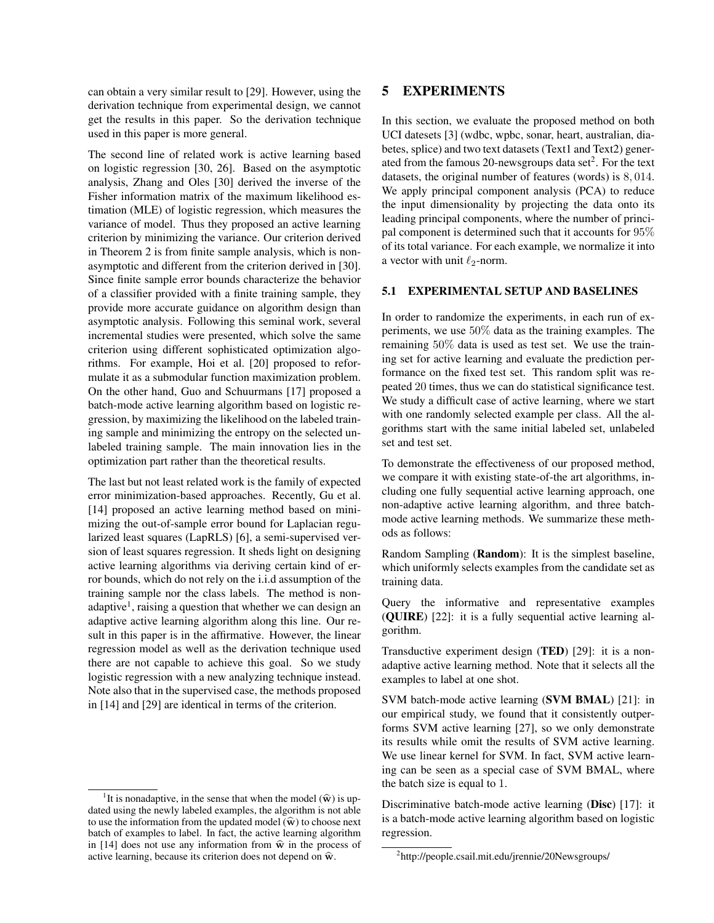can obtain a very similar result to [29]. However, using the derivation technique from experimental design, we cannot get the results in this paper. So the derivation technique used in this paper is more general.

The second line of related work is active learning based on logistic regression [30, 26]. Based on the asymptotic analysis, Zhang and Oles [30] derived the inverse of the Fisher information matrix of the maximum likelihood estimation (MLE) of logistic regression, which measures the variance of model. Thus they proposed an active learning criterion by minimizing the variance. Our criterion derived in Theorem 2 is from finite sample analysis, which is nonasymptotic and different from the criterion derived in [30]. Since finite sample error bounds characterize the behavior of a classifier provided with a finite training sample, they provide more accurate guidance on algorithm design than asymptotic analysis. Following this seminal work, several incremental studies were presented, which solve the same criterion using different sophisticated optimization algorithms. For example, Hoi et al. [20] proposed to reformulate it as a submodular function maximization problem. On the other hand, Guo and Schuurmans [17] proposed a batch-mode active learning algorithm based on logistic regression, by maximizing the likelihood on the labeled training sample and minimizing the entropy on the selected unlabeled training sample. The main innovation lies in the optimization part rather than the theoretical results.

The last but not least related work is the family of expected error minimization-based approaches. Recently, Gu et al. [14] proposed an active learning method based on minimizing the out-of-sample error bound for Laplacian regularized least squares (LapRLS) [6], a semi-supervised version of least squares regression. It sheds light on designing active learning algorithms via deriving certain kind of error bounds, which do not rely on the i.i.d assumption of the training sample nor the class labels. The method is nonadaptive<sup>1</sup>, raising a question that whether we can design an adaptive active learning algorithm along this line. Our result in this paper is in the affirmative. However, the linear regression model as well as the derivation technique used there are not capable to achieve this goal. So we study logistic regression with a new analyzing technique instead. Note also that in the supervised case, the methods proposed in [14] and [29] are identical in terms of the criterion.

## 5 EXPERIMENTS

In this section, we evaluate the proposed method on both UCI datesets [3] (wdbc, wpbc, sonar, heart, australian, diabetes, splice) and two text datasets (Text1 and Text2) generated from the famous 20-newsgroups data set<sup>2</sup>. For the text datasets, the original number of features (words) is 8*,* 014. We apply principal component analysis (PCA) to reduce the input dimensionality by projecting the data onto its leading principal components, where the number of principal component is determined such that it accounts for 95% of its total variance. For each example, we normalize it into a vector with unit *ℓ*2-norm.

### 5.1 EXPERIMENTAL SETUP AND BASELINES

In order to randomize the experiments, in each run of experiments, we use 50% data as the training examples. The remaining 50% data is used as test set. We use the training set for active learning and evaluate the prediction performance on the fixed test set. This random split was repeated 20 times, thus we can do statistical significance test. We study a difficult case of active learning, where we start with one randomly selected example per class. All the algorithms start with the same initial labeled set, unlabeled set and test set.

To demonstrate the effectiveness of our proposed method, we compare it with existing state-of-the art algorithms, including one fully sequential active learning approach, one non-adaptive active learning algorithm, and three batchmode active learning methods. We summarize these methods as follows:

Random Sampling (Random): It is the simplest baseline, which uniformly selects examples from the candidate set as training data.

Query the informative and representative examples (QUIRE) [22]: it is a fully sequential active learning algorithm.

Transductive experiment design (TED) [29]: it is a nonadaptive active learning method. Note that it selects all the examples to label at one shot.

SVM batch-mode active learning (SVM BMAL) [21]: in our empirical study, we found that it consistently outperforms SVM active learning [27], so we only demonstrate its results while omit the results of SVM active learning. We use linear kernel for SVM. In fact, SVM active learning can be seen as a special case of SVM BMAL, where the batch size is equal to 1.

Discriminative batch-mode active learning (Disc) [17]: it is a batch-mode active learning algorithm based on logistic regression.

<sup>&</sup>lt;sup>1</sup>It is nonadaptive, in the sense that when the model  $(\hat{\mathbf{w}})$  is updated using the newly labeled examples, the algorithm is not able to use the information from the updated model  $(\widehat{\mathbf{w}})$  to choose next batch of examples to label. In fact, the active learning algorithm in [14] does not use any information from  $\hat{\mathbf{w}}$  in the process of active learning, because its criterion does not depend on  $\hat{w}$ .

<sup>&</sup>lt;sup>2</sup>http://people.csail.mit.edu/jrennie/20Newsgroups/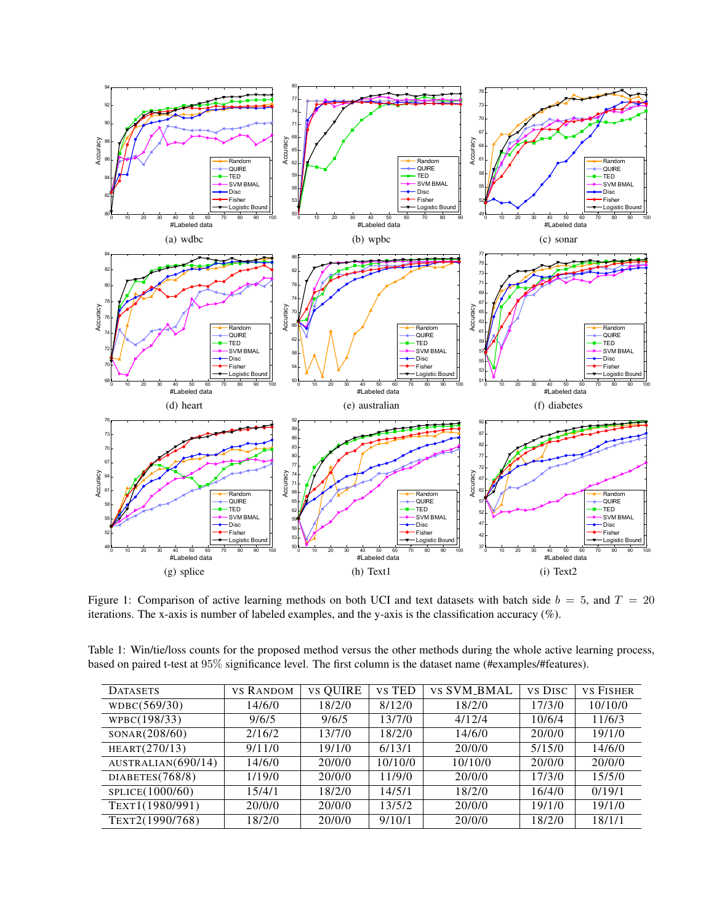

Figure 1: Comparison of active learning methods on both UCI and text datasets with batch side *b* = 5, and *T* = 20 iterations. The x-axis is number of labeled examples, and the y-axis is the classification accuracy (%).

| Table 1: Win/tie/loss counts for the proposed method versus the other methods during the whole active learning process, |  |
|-------------------------------------------------------------------------------------------------------------------------|--|
| based on paired t-test at 95% significance level. The first column is the dataset name (#examples/#features).           |  |

| <b>DATASETS</b>    | <b>VS RANDOM</b> | <b>vs QUIRE</b> | vs TED  | <b>VS SVM BMAL</b> | <b>VS DISC</b> | <b>VS FISHER</b> |
|--------------------|------------------|-----------------|---------|--------------------|----------------|------------------|
| WDBC(569/30)       | 14/6/0           | 18/2/0          | 8/12/0  | 18/2/0             | 17/3/0         | 10/10/0          |
| WPBC(198/33)       | 9/6/5            | 9/6/5           | 13/7/0  | 4/12/4             | 10/6/4         | 11/6/3           |
| SONAR(208/60)      | 2/16/2           | 13/7/0          | 18/2/0  | 14/6/0             | 20/0/0         | 19/1/0           |
| HEART(270/13)      | 9/11/0           | 19/1/0          | 6/13/1  | 20/0/0             | 5/15/0         | 14/6/0           |
| AUSTRALIAN(690/14) | 14/6/0           | 20/0/0          | 10/10/0 | 10/10/0            | 20/0/0         | 20/0/0           |
| DIABETES(768/8)    | 1/19/0           | 20/0/0          | 11/9/0  | 20/0/0             | 17/3/0         | 15/5/0           |
| SPLICE(1000/60)    | 15/4/1           | 18/2/0          | 14/5/1  | 18/2/0             | 16/4/0         | 0/19/1           |
| TEXT1(1980/991)    | 20/0/0           | 20/0/0          | 13/5/2  | 20/0/0             | 19/1/0         | 19/1/0           |
| TEXT2(1990/768)    | 18/2/0           | 20/0/0          | 9/10/1  | 20/0/0             | 18/2/0         | 18/1/1           |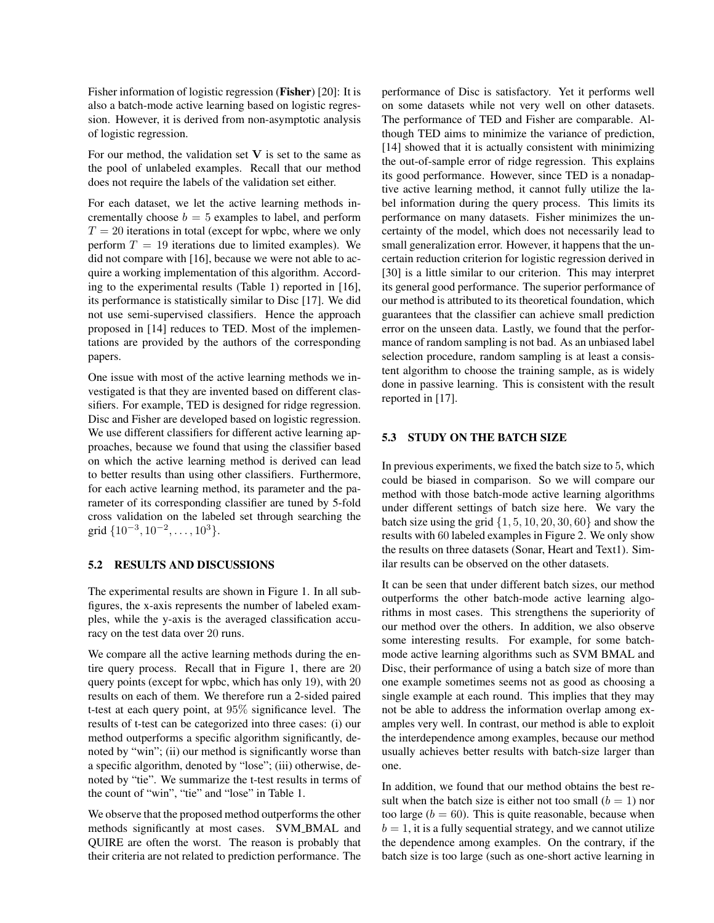Fisher information of logistic regression (Fisher) [20]: It is also a batch-mode active learning based on logistic regression. However, it is derived from non-asymptotic analysis of logistic regression.

For our method, the validation set  $V$  is set to the same as the pool of unlabeled examples. Recall that our method does not require the labels of the validation set either.

For each dataset, we let the active learning methods incrementally choose  $b = 5$  examples to label, and perform  $T = 20$  iterations in total (except for wpbc, where we only perform  $T = 19$  iterations due to limited examples). We did not compare with [16], because we were not able to acquire a working implementation of this algorithm. According to the experimental results (Table 1) reported in [16], its performance is statistically similar to Disc [17]. We did not use semi-supervised classifiers. Hence the approach proposed in [14] reduces to TED. Most of the implementations are provided by the authors of the corresponding papers.

One issue with most of the active learning methods we investigated is that they are invented based on different classifiers. For example, TED is designed for ridge regression. Disc and Fisher are developed based on logistic regression. We use different classifiers for different active learning approaches, because we found that using the classifier based on which the active learning method is derived can lead to better results than using other classifiers. Furthermore, for each active learning method, its parameter and the parameter of its corresponding classifier are tuned by 5-fold cross validation on the labeled set through searching the grid *{*10*−*<sup>3</sup> *,* 10*−*<sup>2</sup> *, . . . ,* 10<sup>3</sup>*}*.

### 5.2 RESULTS AND DISCUSSIONS

The experimental results are shown in Figure 1. In all subfigures, the x-axis represents the number of labeled examples, while the y-axis is the averaged classification accuracy on the test data over 20 runs.

We compare all the active learning methods during the entire query process. Recall that in Figure 1, there are 20 query points (except for wpbc, which has only 19), with 20 results on each of them. We therefore run a 2-sided paired t-test at each query point, at 95% significance level. The results of t-test can be categorized into three cases: (i) our method outperforms a specific algorithm significantly, denoted by "win"; (ii) our method is significantly worse than a specific algorithm, denoted by "lose"; (iii) otherwise, denoted by "tie". We summarize the t-test results in terms of the count of "win", "tie" and "lose" in Table 1.

We observe that the proposed method outperforms the other methods significantly at most cases. SVM BMAL and QUIRE are often the worst. The reason is probably that their criteria are not related to prediction performance. The performance of Disc is satisfactory. Yet it performs well on some datasets while not very well on other datasets. The performance of TED and Fisher are comparable. Although TED aims to minimize the variance of prediction, [14] showed that it is actually consistent with minimizing the out-of-sample error of ridge regression. This explains its good performance. However, since TED is a nonadaptive active learning method, it cannot fully utilize the label information during the query process. This limits its performance on many datasets. Fisher minimizes the uncertainty of the model, which does not necessarily lead to small generalization error. However, it happens that the uncertain reduction criterion for logistic regression derived in [30] is a little similar to our criterion. This may interpret its general good performance. The superior performance of our method is attributed to its theoretical foundation, which guarantees that the classifier can achieve small prediction error on the unseen data. Lastly, we found that the performance of random sampling is not bad. As an unbiased label selection procedure, random sampling is at least a consistent algorithm to choose the training sample, as is widely done in passive learning. This is consistent with the result reported in [17].

## 5.3 STUDY ON THE BATCH SIZE

In previous experiments, we fixed the batch size to 5, which could be biased in comparison. So we will compare our method with those batch-mode active learning algorithms under different settings of batch size here. We vary the batch size using the grid *{*1*,* 5*,* 10*,* 20*,* 30*,* 60*}* and show the results with 60 labeled examples in Figure 2. We only show the results on three datasets (Sonar, Heart and Text1). Similar results can be observed on the other datasets.

It can be seen that under different batch sizes, our method outperforms the other batch-mode active learning algorithms in most cases. This strengthens the superiority of our method over the others. In addition, we also observe some interesting results. For example, for some batchmode active learning algorithms such as SVM BMAL and Disc, their performance of using a batch size of more than one example sometimes seems not as good as choosing a single example at each round. This implies that they may not be able to address the information overlap among examples very well. In contrast, our method is able to exploit the interdependence among examples, because our method usually achieves better results with batch-size larger than one.

In addition, we found that our method obtains the best result when the batch size is either not too small  $(b = 1)$  nor too large  $(b = 60)$ . This is quite reasonable, because when  $b = 1$ , it is a fully sequential strategy, and we cannot utilize the dependence among examples. On the contrary, if the batch size is too large (such as one-short active learning in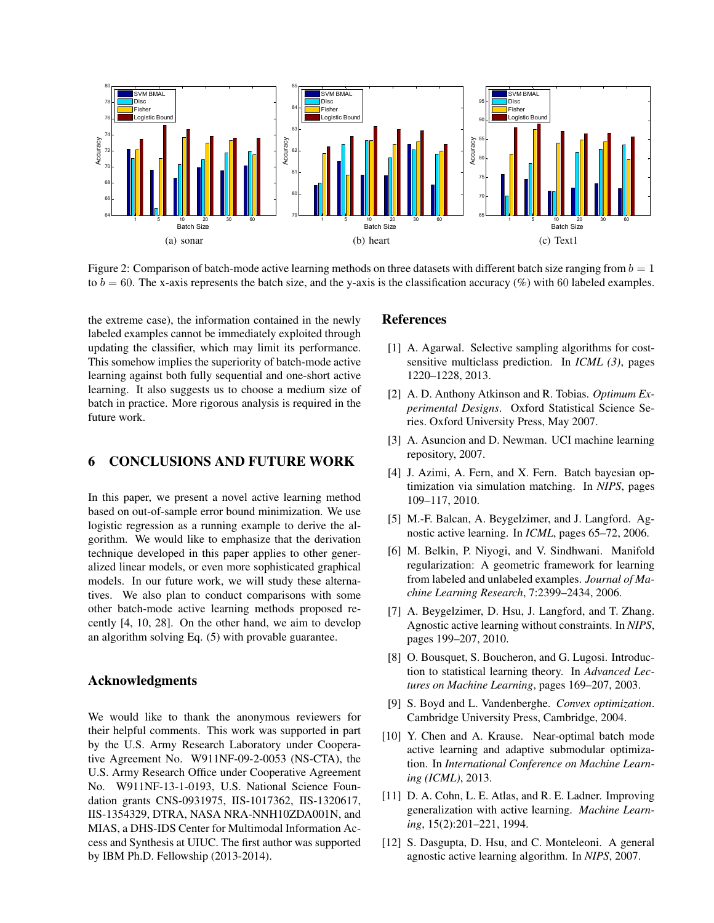

Figure 2: Comparison of batch-mode active learning methods on three datasets with different batch size ranging from  $b = 1$ to  $b = 60$ . The x-axis represents the batch size, and the y-axis is the classification accuracy (%) with 60 labeled examples.

the extreme case), the information contained in the newly labeled examples cannot be immediately exploited through updating the classifier, which may limit its performance. This somehow implies the superiority of batch-mode active learning against both fully sequential and one-short active learning. It also suggests us to choose a medium size of batch in practice. More rigorous analysis is required in the future work.

## 6 CONCLUSIONS AND FUTURE WORK

In this paper, we present a novel active learning method based on out-of-sample error bound minimization. We use logistic regression as a running example to derive the algorithm. We would like to emphasize that the derivation technique developed in this paper applies to other generalized linear models, or even more sophisticated graphical models. In our future work, we will study these alternatives. We also plan to conduct comparisons with some other batch-mode active learning methods proposed recently [4, 10, 28]. On the other hand, we aim to develop an algorithm solving Eq. (5) with provable guarantee.

## Acknowledgments

We would like to thank the anonymous reviewers for their helpful comments. This work was supported in part by the U.S. Army Research Laboratory under Cooperative Agreement No. W911NF-09-2-0053 (NS-CTA), the U.S. Army Research Office under Cooperative Agreement No. W911NF-13-1-0193, U.S. National Science Foundation grants CNS-0931975, IIS-1017362, IIS-1320617, IIS-1354329, DTRA, NASA NRA-NNH10ZDA001N, and MIAS, a DHS-IDS Center for Multimodal Information Access and Synthesis at UIUC. The first author was supported by IBM Ph.D. Fellowship (2013-2014).

## References

- [1] A. Agarwal. Selective sampling algorithms for costsensitive multiclass prediction. In *ICML (3)*, pages 1220–1228, 2013.
- [2] A. D. Anthony Atkinson and R. Tobias. *Optimum Experimental Designs*. Oxford Statistical Science Series. Oxford University Press, May 2007.
- [3] A. Asuncion and D. Newman. UCI machine learning repository, 2007.
- [4] J. Azimi, A. Fern, and X. Fern. Batch bayesian optimization via simulation matching. In *NIPS*, pages 109–117, 2010.
- [5] M.-F. Balcan, A. Beygelzimer, and J. Langford. Agnostic active learning. In *ICML*, pages 65–72, 2006.
- [6] M. Belkin, P. Niyogi, and V. Sindhwani. Manifold regularization: A geometric framework for learning from labeled and unlabeled examples. *Journal of Machine Learning Research*, 7:2399–2434, 2006.
- [7] A. Beygelzimer, D. Hsu, J. Langford, and T. Zhang. Agnostic active learning without constraints. In *NIPS*, pages 199–207, 2010.
- [8] O. Bousquet, S. Boucheron, and G. Lugosi. Introduction to statistical learning theory. In *Advanced Lectures on Machine Learning*, pages 169–207, 2003.
- [9] S. Boyd and L. Vandenberghe. *Convex optimization*. Cambridge University Press, Cambridge, 2004.
- [10] Y. Chen and A. Krause. Near-optimal batch mode active learning and adaptive submodular optimization. In *International Conference on Machine Learning (ICML)*, 2013.
- [11] D. A. Cohn, L. E. Atlas, and R. E. Ladner. Improving generalization with active learning. *Machine Learning*, 15(2):201–221, 1994.
- [12] S. Dasgupta, D. Hsu, and C. Monteleoni. A general agnostic active learning algorithm. In *NIPS*, 2007.